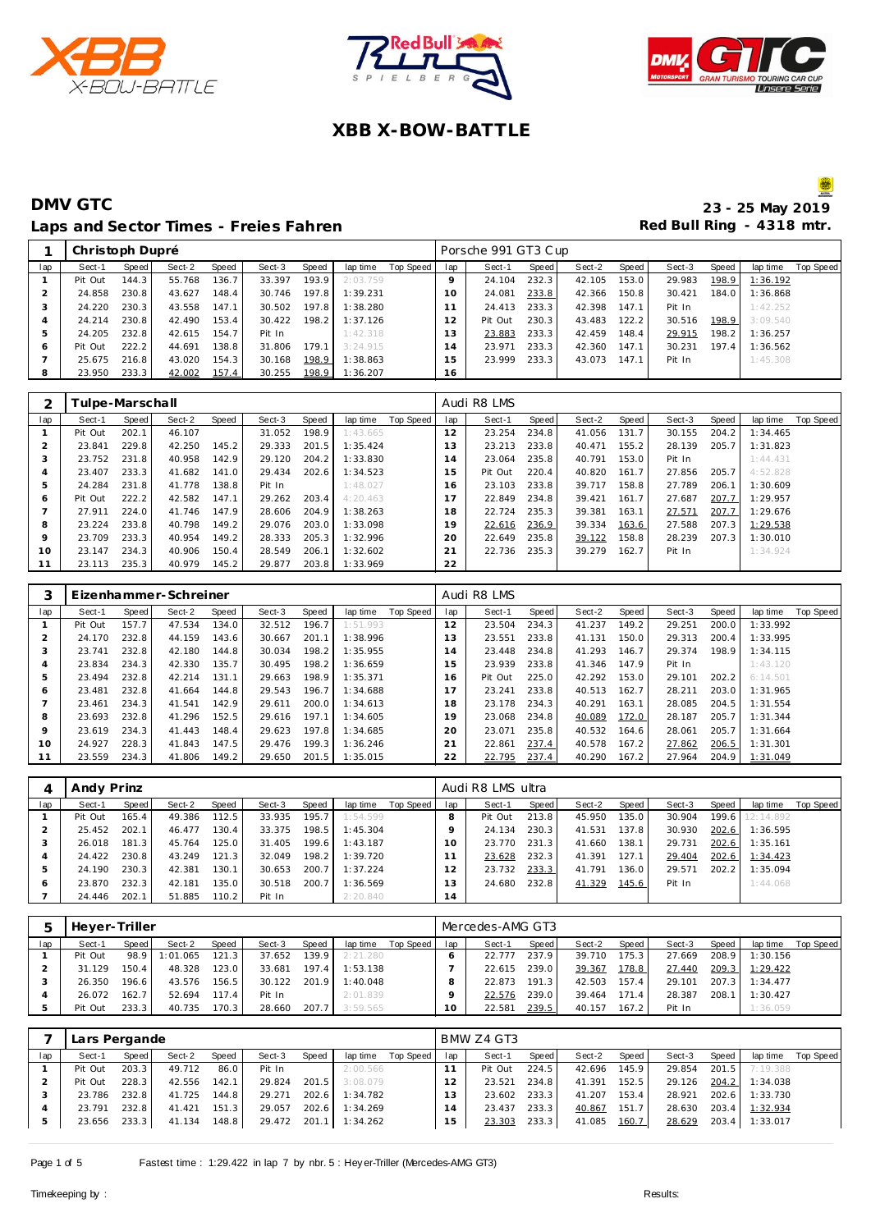





#### **DMV GTC** 23 - 25 May 2019 Laps and Sector Times - Freies Fahren **Red Bull Ring - 4318 mtr. Red Bull Ring - 4318 mtr.**

|     | Christoph Dupré |       |        |       |        |       |          |           |                | Porsche 991 GT3 Cup |       |        |       |        |       |          |           |
|-----|-----------------|-------|--------|-------|--------|-------|----------|-----------|----------------|---------------------|-------|--------|-------|--------|-------|----------|-----------|
| lap | Sect-1          | Speed | Sect-2 | Speed | Sect-3 | Speed | lap time | Top Speed | lap            | Sect-1              | Speed | Sect-2 | Speed | Sect-3 | Speed | lap time | Top Speed |
|     | Pit Out         | 144.3 | 55.768 | 136.7 | 33.397 | 193.9 | 2:03.759 |           |                | 24.104              | 232.3 | 42.105 | 153.0 | 29.983 | 198.9 | 1:36.192 |           |
|     | 24.858          | 230.8 | 43.627 | 148.4 | 30.746 | 197.8 | 1:39.231 |           | 10             | 24.081              | 233.8 | 42.366 | 150.8 | 30.421 | 184.0 | 1:36.868 |           |
| -1  | 24.220          | 230.3 | 43.558 | 147.1 | 30.502 | 197.8 | 1:38.280 |           |                | 24.413              | 233.3 | 42.398 | 147.1 | Pit In |       | 1:42.252 |           |
|     | 24.214          | 230.8 | 42.490 | 153.4 | 30.422 | 198.2 | 1:37.126 |           |                | Pit Out             | 230.3 | 43.483 | 122.2 | 30.516 | 198.9 | 3:09.540 |           |
| h   | 24.205          | 232.8 | 42.615 | 154.7 | Pit In |       | 1:42.318 |           | 3              | 23.883              | 233.3 | 42.459 | 148.4 | 29.915 | 198.2 | 1:36.257 |           |
| 6   | Pit Out         | 222.2 | 44.691 | 138.8 | 31.806 | 179.1 | 3:24.915 |           | $\overline{4}$ | 23.971              | 233.3 | 42.360 | 147.1 | 30.231 | 197.4 | 1:36.562 |           |
|     | 25.675          | 216.8 | 43.020 | 154.3 | 30.168 | 198.9 | 1:38.863 |           | 5              | 23.999              | 233.3 | 43.073 | 147.1 | Pit In |       | 1:45.308 |           |
| 8   | 23.950          | 233.3 | 42.002 | 157.4 | 30.255 | 198.9 | 1:36.207 |           | 16             |                     |       |        |       |        |       |          |           |
|     |                 |       |        |       |        |       |          |           |                |                     |       |        |       |        |       |          |           |

|         | Tulpe-Marschall |       |        |       |        |       |          |           |     | Audi R8 LMS |       |        |       |        |       |          |           |
|---------|-----------------|-------|--------|-------|--------|-------|----------|-----------|-----|-------------|-------|--------|-------|--------|-------|----------|-----------|
| lap     | Sect-1          | Speed | Sect-2 | Speed | Sect-3 | Speed | lap time | Top Speed | lap | Sect-1      | Speed | Sect-2 | Speed | Sect-3 | Speed | lap time | Top Speed |
|         | Pit Out         | 202.1 | 46.107 |       | 31.052 | 198.9 | 1:43.665 |           | 12  | 23.254      | 234.8 | 41.056 | 131.7 | 30.155 | 204.2 | 1:34.465 |           |
|         | 23.841          | 229.8 | 42.250 | 145.2 | 29.333 | 201.5 | 1:35.424 |           | 13  | 23.213      | 233.8 | 40.471 | 155.2 | 28.139 | 205.7 | 1:31.823 |           |
| 3       | 23.752          | 231.8 | 40.958 | 142.9 | 29.120 | 204.2 | 1:33.830 |           | 14  | 23.064      | 235.8 | 40.791 | 153.0 | Pit In |       | 1:44.431 |           |
| 4       | 23.407          | 233.3 | 41.682 | 141.0 | 29.434 | 202.6 | 1:34.523 |           | 15  | Pit Out     | 220.4 | 40.820 | 161.7 | 27.856 | 205.7 | 4:52.828 |           |
| 5       | 24.284          | 231.8 | 41.778 | 138.8 | Pit In |       | 1:48.027 |           | 16  | 23.103      | 233.8 | 39.717 | 158.8 | 27.789 | 206.1 | 1:30.609 |           |
| 6       | Pit Out         | 222.2 | 42.582 | 147.1 | 29.262 | 203.4 | 4:20.463 |           |     | 22.849      | 234.8 | 39.421 | 161.7 | 27.687 | 207.7 | 1:29.957 |           |
|         | 27.911          | 224.0 | 41.746 | 147.9 | 28.606 | 204.9 | 1:38.263 |           | 18  | 22.724      | 235.3 | 39.381 | 163.1 | 27.571 | 207.7 | 1:29.676 |           |
| 8       | 23.224          | 233.8 | 40.798 | 149.2 | 29.076 | 203.0 | 1:33.098 |           | 19  | 22.616      | 236.9 | 39.334 | 163.6 | 27.588 | 207.3 | 1:29.538 |           |
| $\circ$ | 23.709          | 233.3 | 40.954 | 149.2 | 28.333 | 205.3 | 1:32.996 |           | 20  | 22.649      | 235.8 | 39.122 | 158.8 | 28.239 | 207.3 | 1:30.010 |           |
| 10      | 23.147          | 234.3 | 40.906 | 150.4 | 28.549 | 206.1 | 1:32.602 |           | 21  | 22.736      | 235.3 | 39.279 | 162.7 | Pit In |       | 1:34.924 |           |
|         | 23.113          | 235.3 | 40.979 | 145.2 | 29.877 | 203.8 | 1:33.969 |           | 22  |             |       |        |       |        |       |          |           |

| 3   |         |       | Eizenhammer-Schreiner |       |        |       |          |                  |     | Audi R8 LMS |       |        |       |        |       |          |           |
|-----|---------|-------|-----------------------|-------|--------|-------|----------|------------------|-----|-------------|-------|--------|-------|--------|-------|----------|-----------|
| lap | Sect-1  | Speed | Sect-2                | Speed | Sect-3 | Speed | lap time | <b>Top Speed</b> | lap | Sect-1      | Speed | Sect-2 | Speed | Sect-3 | Speed | lap time | Top Speed |
|     | Pit Out | 157.7 | 47.534                | 134.0 | 32.512 | 196.7 | 1:51.993 |                  | 12  | 23.504      | 234.3 | 41.237 | 149.2 | 29.251 | 200.0 | 1:33.992 |           |
| 2   | 24.170  | 232.8 | 44.159                | 143.6 | 30.667 | 201.1 | 1:38.996 |                  | 13  | 23.551      | 233.8 | 41.131 | 150.0 | 29.313 | 200.4 | 1:33.995 |           |
| 3   | 23.741  | 232.8 | 42.180                | 144.8 | 30.034 | 198.2 | 1:35.955 |                  | 14  | 23.448      | 234.8 | 41.293 | 146.7 | 29.374 | 198.9 | 1:34.115 |           |
| 4   | 23.834  | 234.3 | 42.330                | 135.7 | 30.495 | 198.2 | 1:36.659 |                  | 15  | 23.939      | 233.8 | 41.346 | 147.9 | Pit In |       | 1:43.120 |           |
| 5   | 23.494  | 232.8 | 42.214                | 131.1 | 29.663 | 198.9 | 1:35.371 |                  | 16  | Pit Out     | 225.0 | 42.292 | 153.0 | 29.101 | 202.2 | 6:14.501 |           |
| 6   | 23.481  | 232.8 | 41.664                | 144.8 | 29.543 | 196.7 | 1:34.688 |                  | 17  | 23.241      | 233.8 | 40.513 | 162.7 | 28.211 | 203.0 | 1:31.965 |           |
|     | 23.461  | 234.3 | 41.541                | 142.9 | 29.611 | 200.0 | 1:34.613 |                  | 18  | 23.178      | 234.3 | 40.291 | 163.1 | 28.085 | 204.5 | 1:31.554 |           |
| 8   | 23.693  | 232.8 | 41.296                | 152.5 | 29.616 | 197.1 | 1:34.605 |                  | 19  | 23.068      | 234.8 | 40.089 | 172.0 | 28.187 | 205.7 | 1:31.344 |           |
| 9   | 23.619  | 234.3 | 41.443                | 148.4 | 29.623 | 197.8 | 1:34.685 |                  | 20  | 23.071      | 235.8 | 40.532 | 164.6 | 28.061 | 205.7 | 1:31.664 |           |
| 10  | 24.927  | 228.3 | 41.843                | 147.5 | 29.476 | 199.3 | 1:36.246 |                  | 21  | 22.861      | 237.4 | 40.578 | 167.2 | 27.862 | 206.5 | 1:31.301 |           |
| 11  | 23.559  | 234.3 | 41.806                | 149.2 | 29.650 | 201.5 | 1:35.015 |                  | 22  | 22.795      | 237.4 | 40.290 | 167.2 | 27.964 | 204.9 | 1:31.049 |           |

|     | Andy Prinz |       |        |       |        |       |          |           |     | Audi R8 LMS ultra |       |        |       |        |       |                 |           |
|-----|------------|-------|--------|-------|--------|-------|----------|-----------|-----|-------------------|-------|--------|-------|--------|-------|-----------------|-----------|
| lap | Sect-1     | Speed | Sect-2 | Speed | Sect-3 | Speed | lap time | Top Speed | lap | Sect-1            | Speed | Sect-2 | Speed | Sect-3 | Speed | lap time        | Top Speed |
|     | Pit Out    | 165.4 | 49.386 | 112.5 | 33.935 | 195.7 | 1:54.599 |           |     | Pit Out           | 213.8 | 45.950 | 135.0 | 30.904 |       | 199.6 12:14.892 |           |
|     | 25.452     | 202.1 | 46.477 | 130.4 | 33.375 | 198.5 | 1:45.304 |           |     | 24.134            | 230.3 | 41.531 | 137.8 | 30.930 | 202.6 | 1:36.595        |           |
|     | 26.018     | 181.3 | 45.764 | 125.0 | 31.405 | 199.6 | 1:43.187 |           | 10  | 23.770            | 231.3 | 41.660 | 138.1 | 29.731 | 202.6 | 1:35.161        |           |
| 4   | 24.422     | 230.8 | 43.249 | 121.3 | 32.049 | 198.2 | 1:39.720 |           |     | 23.628            | 232.3 | 41.391 | 127.1 | 29.404 | 202.6 | 1:34.423        |           |
| b.  | 24.190     | 230.3 | 42.381 | 130.1 | 30.653 | 200.7 | 1:37.224 |           |     | 23.732            | 233.3 | 41.791 | 136.0 | 29.571 | 202.2 | 1:35.094        |           |
| 6   | 23.870     | 232.3 | 42.181 | 135.0 | 30.518 | 200.7 | 1:36.569 |           | 3   | 24.680            | 232.8 | 41.329 | 145.6 | Pit In |       | 1:44.068        |           |
|     | 24.446     | 202.1 | 51.885 | 110.2 | Pit In |       | 2:20.840 |           | 14  |                   |       |        |       |        |       |                 |           |

|     | Heyer-Triller |       |          |       |        |       |          |           |     | Mercedes-AMG GT3 |       |        |       |        |       |          |           |
|-----|---------------|-------|----------|-------|--------|-------|----------|-----------|-----|------------------|-------|--------|-------|--------|-------|----------|-----------|
| lap | Sect-1        | Speed | Sect-2   | Speed | Sect-3 | Speed | lap time | Top Speed | lap | Sect-1           | Speed | Sect-2 | Speed | Sect-3 | Speed | lap time | Top Speed |
|     | Pit Out       | 98.9  | 1:01.065 | 121.3 | 37.652 | 139.9 | 2:21.280 |           |     | 22.777           | 237.9 | 39.710 | 175.3 | 27.669 | 208.9 | 1:30.156 |           |
|     | 31.129        | 150.4 | 48.328   | 123.0 | 33.681 | 197.4 | 1:53.138 |           |     | 22.615           | 239.0 | 39.367 | 178.8 | 27.440 | 209.3 | 1:29.422 |           |
|     | 26.350        | 196.6 | 43.576   | 156.5 | 30.122 | 201.9 | 1:40.048 |           |     | 22.873           | 191.3 | 42.503 | 157.4 | 29.101 | 207.3 | 1:34.477 |           |
|     | 26.072        | 162.7 | 52.694   | 117.4 | Pit In |       | 2:01.839 |           |     | 22.576           | 239.0 | 39.464 | 171.4 | 28.387 | 208.7 | : 30.427 |           |
|     | Pit Out       | 233.3 | 40.735   | 170.3 | 28.660 | 207.  | 3:59.565 |           | O   | 22.581           | 239.5 | 40.157 | 167.2 | Pit In |       | 1:36.059 |           |

|     | Lars Pergande |       |        |                    |        |       |          |           |     | BMW Z4 GT3 |       |        |       |        |       |          |           |
|-----|---------------|-------|--------|--------------------|--------|-------|----------|-----------|-----|------------|-------|--------|-------|--------|-------|----------|-----------|
| lap | Sect-1        | Speed | Sect-2 | Speed              | Sect-3 | Speed | lap time | Top Speed | lap | Sect-1     | Speed | Sect-2 | Speed | Sect-3 | Speed | lap time | Top Speed |
|     | Pit Out       | 203.3 | 49.712 | 86.0               | Pit In |       | 2:00.566 |           |     | Pit Out    | 224.5 | 42.696 | 145.9 | 29.854 | 201.5 | 7:19.388 |           |
|     | Pit Out       | 228.3 | 42.556 | 142.1              | 29.824 | 201.5 | 3:08.079 |           |     | 23.521     | 234.8 | 41.391 | 152.5 | 29.126 | 204.2 | 1:34.038 |           |
|     | 23.786        | 232.8 | 41.725 | 144.8              | 29.271 | 202.6 | 1:34.782 |           |     | 23.602     | 233.3 | 41.207 | 153.4 | 28.921 | 202.6 | 1:33.730 |           |
|     | 23.791        | 232.8 | 41.421 | 151.3              | 29.057 | 202.6 | 1:34.269 |           | 4   | 23.437     | 233.3 | 40.867 | 151.7 | 28.630 | 203.4 | 1:32.934 |           |
| 5   | 23.656        | 233.3 | 41.134 | 148.8 <sub>1</sub> | 29.472 | 201.1 | 1:34.262 |           | 5   | 23.303     | 233.3 | 41.085 | 160.7 | 28.629 | 203.4 | 1:33.017 |           |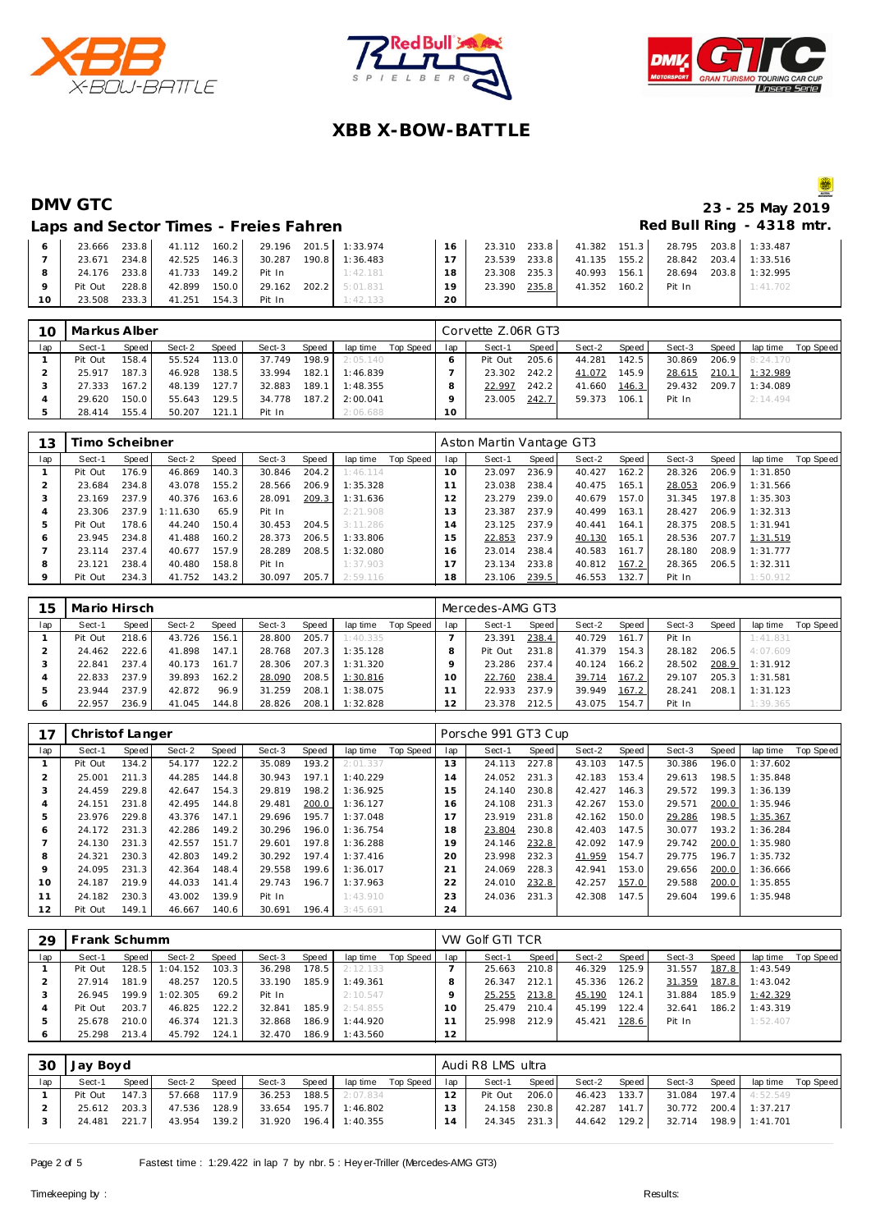





# **DMV GTC** 23 - 25 May 2019

#### Laps and Sector Times - Freies Fahren **Red Bull Ring - 4318 mtr.**

|         |               |                     |  | 23.666 233.8 41.112 160.2 29.196 201.5 1:33.974 | 1.16            |  |                                  | 23.310 233.8 41.382 151.3 28.795 203.8 1:33.487 |          |
|---------|---------------|---------------------|--|-------------------------------------------------|-----------------|--|----------------------------------|-------------------------------------------------|----------|
|         | 23.671 234.8  |                     |  | 42.525  146.3  30.287  190.8  1:36.483          | 17 <sup>1</sup> |  |                                  | 23.539 233.8 41.135 155.2 28.842 203.4 1:33.516 |          |
| 8 I     |               |                     |  | 24.176 233.8 41.733 149.2 Pit In 1:42.181       | 18 L            |  |                                  | 23.308 235.3 40.993 156.1 28.694 203.8 1:32.995 |          |
| $\circ$ | Pit Out 228.8 |                     |  | 42.899 150.0 29.162 202.2 5:01.831              | 19              |  | 23.390 235.8 41.352 160.2 Pit In |                                                 | 1:41.702 |
| $10-1$  | 23.508 233.3  | 41.251 154.3 Pit In |  | 1:42.133                                        | 20              |  |                                  |                                                 |          |

| 10  | Markus Alber |                    |        |       |        |       |          |           |     | Corvette Z.06R GT3 |       |        |       |        |       |                |           |
|-----|--------------|--------------------|--------|-------|--------|-------|----------|-----------|-----|--------------------|-------|--------|-------|--------|-------|----------------|-----------|
| lap | Sect-1       | Speed              | Sect-2 | Speed | Sect-3 | Speed | lap time | Top Speed | lap | Sect-1             | Speed | Sect-2 | Speed | Sect-3 | Speed | lap time       | Top Speed |
|     | Pit Out      | 158.4 <sub>1</sub> | 55.524 | 113.0 | 37.749 | 198.9 | 2:05.140 |           |     | Pit Out            | 205.6 | 44.281 | 142.5 | 30.869 |       | 206.9 8:24.170 |           |
|     | 25.917       | 187.3              | 46.928 | 138.5 | 33.994 | 182.1 | 1:46.839 |           |     | 23.302             | 242.2 | 41.072 | 145.9 | 28.615 | 210.1 | 1:32.989       |           |
|     | 27.333       | 167.2              | 48.139 | 127.7 | 32.883 | 189.1 | 1:48.355 |           |     | 22.997             | 242.2 | 41.660 | 146.3 | 29.432 | 209.7 | 1:34.089       |           |
|     | 29.620       | 150.0              | 55.643 | 129.5 | 34.778 | 187.2 | 2:00.041 |           |     | 23.005             | 242.7 | 59.373 | 106.1 | Pit In |       | 2:14.494       |           |
|     | 28.414       | 155.4              | 50.207 | 121.1 | Pit In |       | 2:06.688 |           | 10  |                    |       |        |       |        |       |                |           |

| 13      | Fimo Scheibner |       |          |       |        |       |          |           |                | Aston Martin Vantage GT3 |       |        |       |        |       |          |           |
|---------|----------------|-------|----------|-------|--------|-------|----------|-----------|----------------|--------------------------|-------|--------|-------|--------|-------|----------|-----------|
| lap     | Sect-1         | Speed | Sect-2   | Speed | Sect-3 | Speed | lap time | Top Speed | lap            | Sect-1                   | Speed | Sect-2 | Speed | Sect-3 | Speed | lap time | Top Speed |
|         | Pit Out        | 176.9 | 46.869   | 140.3 | 30.846 | 204.2 | 1:46.114 |           | 10             | 23.097                   | 236.9 | 40.427 | 162.2 | 28.326 | 206.9 | 1:31.850 |           |
|         | 23.684         | 234.8 | 43.078   | 155.2 | 28.566 | 206.9 | 1:35.328 |           |                | 23.038                   | 238.4 | 40.475 | 165.1 | 28.053 | 206.9 | 1:31.566 |           |
|         | 23.169         | 237.9 | 40.376   | 163.6 | 28.091 | 209.3 | 1:31.636 |           |                | 23.279                   | 239.0 | 40.679 | 157.0 | 31.345 | 197.8 | 1:35.303 |           |
|         | 23.306         | 237.9 | 1:11.630 | 65.9  | Pit In |       | 2:21.908 |           | 3              | 23.387                   | 237.9 | 40.499 | 163.1 | 28.427 | 206.9 | 1:32.313 |           |
|         | Pit Out        | 178.6 | 44.240   | 150.4 | 30.453 | 204.5 | 3:11.286 |           | $\overline{4}$ | 23.125                   | 237.9 | 40.441 | 164.1 | 28.375 | 208.5 | 1:31.941 |           |
| 6       | 23.945         | 234.8 | 41.488   | 160.2 | 28.373 | 206.5 | 1:33.806 |           | 5              | 22.853                   | 237.9 | 40.130 | 165.1 | 28.536 | 207.7 | 1:31.519 |           |
|         | 23.114         | 237.4 | 40.677   | 157.9 | 28.289 | 208.5 | 1:32.080 |           | 6              | 23.014                   | 238.4 | 40.583 | 161.7 | 28.180 | 208.9 | 1:31.777 |           |
| 8       | 23.121         | 238.4 | 40.480   | 158.8 | Pit In |       | 1:37.903 |           |                | 23.134                   | 233.8 | 40.812 | 167.2 | 28.365 | 206.5 | 1:32.311 |           |
| $\circ$ | Pit Out        | 234.3 | 41.752   | 143.2 | 30.097 | 205.7 | 2:59.116 |           | 18             | 23.106                   | 239.5 | 46.553 | 132.7 | Pit In |       | 1:50.912 |           |

| 15  | Mario Hirsch |       |        |       |        |       |          |           |     | Mercedes-AMG GT3 |       |        |       |        |       |          |           |
|-----|--------------|-------|--------|-------|--------|-------|----------|-----------|-----|------------------|-------|--------|-------|--------|-------|----------|-----------|
| lap | Sect-1       | Speed | Sect-2 | Speed | Sect-3 | Speed | lap time | Top Speed | lap | Sect-1           | Speed | Sect-2 | Speed | Sect-3 | Speed | lap time | Top Speed |
|     | Pit Out      | 218.6 | 43.726 | 156.1 | 28.800 | 205.7 | 1:40.335 |           |     | 23.391           | 238.4 | 40.729 | 161.7 | Pit In |       | 1:41.831 |           |
|     | 24.462       | 222.6 | 41.898 | 147.1 | 28.768 | 207.3 | 1:35.128 |           |     | Pit Out          | 231.8 | 41.379 | 154.3 | 28.182 | 206.5 | 4:07.609 |           |
|     | 22.841       | 237.4 | 40.173 | 161.7 | 28.306 | 207.3 | 1:31.320 |           |     | 23.286           | 237.4 | 40.124 | 166.2 | 28.502 | 208.9 | 1:31.912 |           |
|     | 22.833       | 237.9 | 39.893 | 162.2 | 28.090 | 208.5 | 1:30.816 |           | 10  | 22.760           | 238.4 | 39.714 | 167.2 | 29.107 | 205.3 | 1:31.581 |           |
|     | 23.944       | 237.9 | 42.872 | 96.9  | 31.259 | 208.1 | 1:38.075 |           |     | 22.933           | 237.9 | 39.949 | 167.2 | 28.241 | 208.1 | 1:31.123 |           |
|     | 22.957       | 236.9 | 41.045 | 144.8 | 28.826 | 208.1 | 1:32.828 |           |     | 23.378           | 212.5 | 43.075 | 154.7 | Pit In |       | 1:39.365 |           |

| 17             | Christof Langer |       |        |       |        |       |          |           |                     | Porsche 991 GT3 Cup |       |        |       |        |       |          |           |
|----------------|-----------------|-------|--------|-------|--------|-------|----------|-----------|---------------------|---------------------|-------|--------|-------|--------|-------|----------|-----------|
| lap            | Sect-1          | Speed | Sect-2 | Speed | Sect-3 | Speed | lap time | Top Speed | lap                 | Sect-1              | Speed | Sect-2 | Speed | Sect-3 | Speed | lap time | Top Speed |
|                | Pit Out         | 134.2 | 54.177 | 122.2 | 35.089 | 193.2 | 2:01.337 |           | 13                  | 24.113              | 227.8 | 43.103 | 147.5 | 30.386 | 196.0 | 1:37.602 |           |
| $\overline{2}$ | 25.001          | 211.3 | 44.285 | 144.8 | 30.943 | 197.1 | 1:40.229 |           | и<br>$\overline{4}$ | 24.052              | 231.3 | 42.183 | 153.4 | 29.613 | 198.5 | 1:35.848 |           |
| 3              | 24.459          | 229.8 | 42.647 | 154.3 | 29.819 | 198.2 | 1:36.925 |           | 15                  | 24.140              | 230.8 | 42.427 | 146.3 | 29.572 | 199.3 | 1:36.139 |           |
| 4              | 24.151          | 231.8 | 42.495 | 144.8 | 29.481 | 200.0 | 1:36.127 |           | 16                  | 24.108              | 231.3 | 42.267 | 153.0 | 29.571 | 200.0 | 1:35.946 |           |
| 5              | 23.976          | 229.8 | 43.376 | 147.1 | 29.696 | 195.7 | 1:37.048 |           | 17                  | 23.919              | 231.8 | 42.162 | 150.0 | 29.286 | 198.5 | 1:35.367 |           |
| 6              | 24.172          | 231.3 | 42.286 | 149.2 | 30.296 | 196.0 | 1:36.754 |           | 18                  | 23.804              | 230.8 | 42.403 | 147.5 | 30.077 | 193.2 | 1:36.284 |           |
|                | 24.130          | 231.3 | 42.557 | 151.7 | 29.601 | 197.8 | 1:36.288 |           | 19                  | 24.146              | 232.8 | 42.092 | 147.9 | 29.742 | 200.0 | 1:35.980 |           |
| 8              | 24.321          | 230.3 | 42.803 | 149.2 | 30.292 | 197.4 | 1:37.416 |           | 20                  | 23.998              | 232.3 | 41.959 | 154.7 | 29.775 | 196.7 | 1:35.732 |           |
| 9              | 24.095          | 231.3 | 42.364 | 148.4 | 29.558 | 199.6 | 1:36.017 |           | 21                  | 24.069              | 228.3 | 42.941 | 153.0 | 29.656 | 200.0 | 1:36.666 |           |
| 10             | 24.187          | 219.9 | 44.033 | 141.4 | 29.743 | 196.7 | 1:37.963 |           | 22                  | 24.010              | 232.8 | 42.257 | 157.0 | 29.588 | 200.0 | 1:35.855 |           |
| 11             | 24.182          | 230.3 | 43.002 | 139.9 | Pit In |       | 1:43.910 |           | 23                  | 24.036              | 231.3 | 42.308 | 147.5 | 29.604 | 199.6 | 1:35.948 |           |
| 12             | Pit Out         | 149.1 | 46.667 | 140.6 | 30.691 | 196.4 | 3:45.691 |           | 24                  |                     |       |        |       |        |       |          |           |

| 29  | Frank Schumm |       |          |       |        |       |          |           |     | VW Golf GTI TCR |       |        |       |        |       |          |           |
|-----|--------------|-------|----------|-------|--------|-------|----------|-----------|-----|-----------------|-------|--------|-------|--------|-------|----------|-----------|
| lap | Sect-1       | Speed | Sect-2   | Speed | Sect-3 | Speed | lap time | Top Speed | lap | Sect-1          | Speed | Sect-2 | Speed | Sect-3 | Speed | lap time | Top Speed |
|     | Pit Out      | 128.5 | 1:04.152 | 103.3 | 36.298 | 178.5 | 2:12.133 |           |     | 25.663          | 210.8 | 46.329 | 125.9 | 31.557 | 187.8 | 1:43.549 |           |
|     | 27.914       | 181.9 | 48.257   | 120.5 | 33.190 | 185.9 | 1:49.361 |           |     | 26.347          | 212.1 | 45.336 | 126.2 | 31.359 | 187.8 | 1:43.042 |           |
|     | 26.945       | 199.9 | 1:02.305 | 69.2  | Pit In |       | 2:10.547 |           |     | 25.255          | 213.8 | 45.190 | 124.1 | 31.884 | 185.9 | 1:42.329 |           |
|     | Pit Out      | 203.7 | 46.825   | 122.2 | 32.841 | 185.9 | 2:54.855 |           | 1 O | 25.479          | 210.4 | 45.199 | 122.4 | 32.641 | 186.2 | 1:43.319 |           |
|     | 25.678       | 210.0 | 46.374   | 121.3 | 32.868 | 186.9 | 1:44.920 |           |     | 25.998          | 212.9 | 45.421 | 128.6 | Pit In |       | 1:52.407 |           |
| O   | 25.298       | 213.4 | 45.792   | 124.1 | 32.470 | 186.9 | 1:43.560 |           | 12  |                 |       |        |       |        |       |          |           |

| -30 | Jay Boyd |         |        |       |        |       |                         |                    |                 | Audi R8 LMS ultra |       |              |       |        |              |                       |           |
|-----|----------|---------|--------|-------|--------|-------|-------------------------|--------------------|-----------------|-------------------|-------|--------------|-------|--------|--------------|-----------------------|-----------|
| lap | Sect-1   | Speed   | Sect-2 | Speed | Sect-3 | Speed |                         | lap time Top Speed | lap             | Sect-1            | Speed | Sect-2       | Speed | Sect-3 | <b>Speed</b> | lap time              | Top Speed |
|     | Pit Out  | $147.3$ | 57.668 | 117.9 | 36.253 | 188.5 | 2:07.834                |                    | 12 <sub>1</sub> | Pit Out           | 206.0 | 46.423 133.7 |       |        |              | 31.084 197.4 4:52.549 |           |
|     | 25.612   | 203.3   | 47.536 | 128.9 |        |       | 33.654 195.7 1:46.802   |                    | 13              | 24.158            | 230.8 | 42.287       | 141.7 | 30.772 | 200.4        | 1:37.217              |           |
|     | 24.481   | 221.7   | 43.954 | 139.2 |        |       | 31.920  196.4  1:40.355 |                    | 14              | 24.345 231.3      |       | 44.642 129.2 |       |        |              | 32.714 198.9 1:41.701 |           |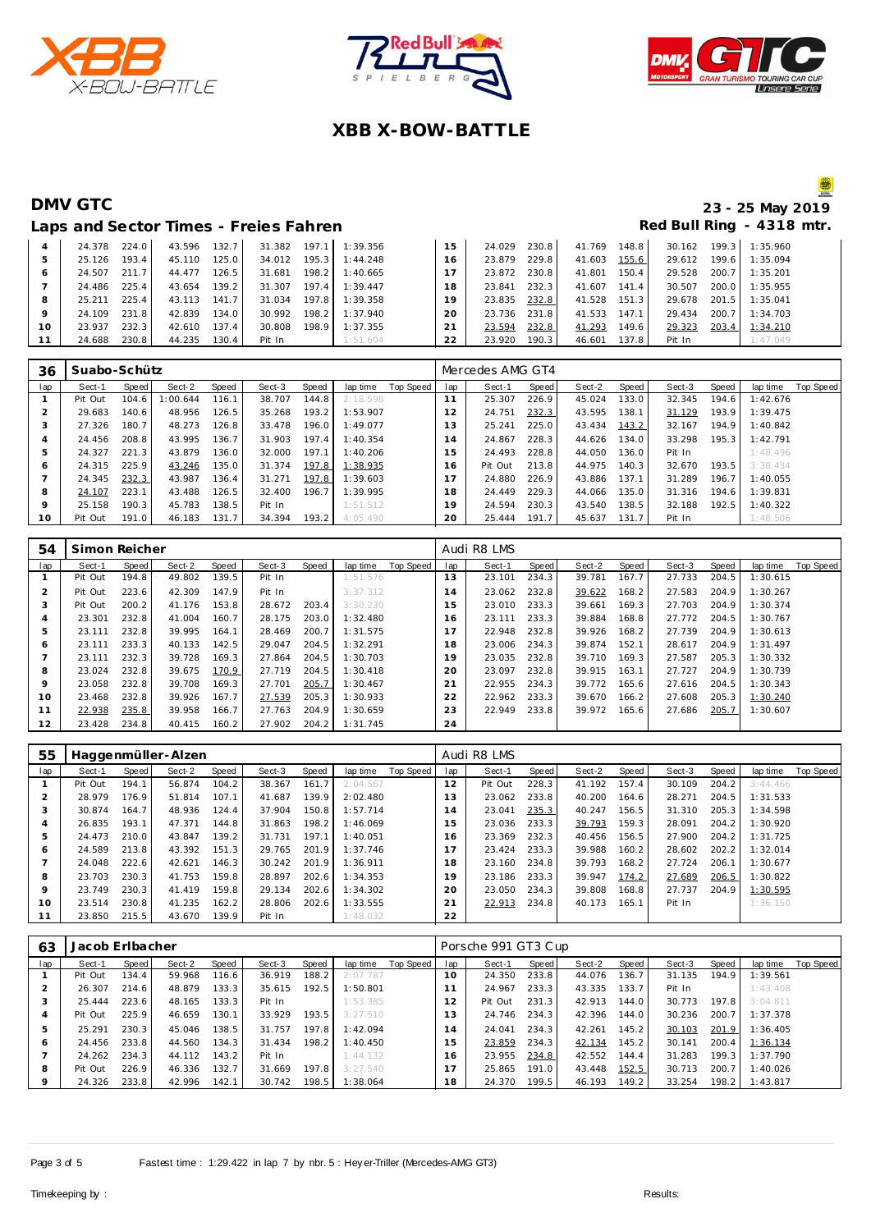





# **DMV GTC 23 - 25 May 2019**

|    | Laps and Sector Times - Freies Fahren |       |        |       |        |       |          |    |        |       |        |       |        |         | Red Bull Ring - 4318 mtr. |
|----|---------------------------------------|-------|--------|-------|--------|-------|----------|----|--------|-------|--------|-------|--------|---------|---------------------------|
|    | 24.378                                | 224.0 | 43.596 | 132.7 | 31.382 | 197.1 | 1:39.356 | 15 | 24.029 | 230.8 | 41.769 | 148.8 | 30.162 | 199.3   | 1:35.960                  |
| 5  | 25.126                                | 193.4 | 45.110 | 125.0 | 34.012 | 195.3 | 1:44.248 | 16 | 23.879 | 229.8 | 41.603 | 155.6 | 29.612 | 199.6   | 1:35.094                  |
| 6  | 24.507                                | 211.7 | 44.477 | 126.5 | 31.681 | 198.2 | 1:40.665 |    | 23.872 | 230.8 | 41.801 | 150.4 | 29.528 | 200.7   | 1:35.201                  |
|    | 24.486                                | 225.4 | 43.654 | 139.2 | 31.307 | 197.4 | 1:39.447 | 18 | 23.841 | 232.3 | 41.607 | 141.4 | 30.507 | 200.0   | 1:35.955                  |
| 8  | 25.211                                | 225.4 | 43.113 | 141.7 | 31.034 | 197.8 | 1:39.358 | 19 | 23.835 | 232.8 | 41.528 | 151.3 | 29.678 | $201.5$ | 1:35.041                  |
|    | 24.109                                | 231.8 | 42.839 | 134.0 | 30.992 | 198.2 | 1:37.940 | 20 | 23.736 | 231.8 | 41.533 | 147.1 | 29.434 | 200.7   | 1:34.703                  |
| 10 | 23.937                                | 232.3 | 42.610 | 137.4 | 30.808 | 198.9 | 1:37.355 |    | 23.594 | 232.8 | 41.293 | 149.6 | 29.323 | 203.4   | 1:34.210                  |
| 11 | 24.688                                | 230.8 | 44.235 | 130.4 | Pit In |       | 1:51.604 | 22 | 23.920 | 190.3 | 46.601 | 137.8 | Pit In |         | 1:47.049                  |

| 36           | Suabo-Schütz |       |         |       |        |       |          |           |     | Mercedes AMG GT4 |       |        |       |        |       |          |           |
|--------------|--------------|-------|---------|-------|--------|-------|----------|-----------|-----|------------------|-------|--------|-------|--------|-------|----------|-----------|
| lap          | Sect-1       | Speed | Sect-2  | Speed | Sect-3 | Speed | lap time | Top Speed | lap | Sect-1           | Speed | Sect-2 | Speed | Sect-3 | Speed | lap time | Top Speed |
|              | Pit Out      | 104.6 | :00.644 | 116.1 | 38.707 | 144.8 | 2:18.596 |           | 11  | 25.307           | 226.9 | 45.024 | 133.0 | 32.345 | 194.6 | 1:42.676 |           |
|              | 29.683       | 140.6 | 48.956  | 126.5 | 35.268 | 193.2 | 1:53.907 |           | 12  | 24.751           | 232.3 | 43.595 | 138.1 | 31.129 | 193.9 | 1:39.475 |           |
| -1           | 27.326       | 180.7 | 48.273  | 126.8 | 33.478 | 196.0 | 1:49.077 |           | 3   | 25.241           | 225.0 | 43.434 | 143.2 | 32.167 | 194.9 | 1:40.842 |           |
|              | 24.456       | 208.8 | 43.995  | 136.7 | 31.903 | 197.4 | 1:40.354 |           | 14  | 24.867           | 228.3 | 44.626 | 134.0 | 33.298 | 195.3 | 1:42.791 |           |
| 5            | 24.327       | 221.3 | 43.879  | 136.0 | 32.000 | 197.1 | 1:40.206 |           | 5   | 24.493           | 228.8 | 44.050 | 136.0 | Pit In |       | 1:48.496 |           |
| <sub>6</sub> | 24.315       | 225.9 | 43.246  | 135.0 | 31.374 | 197.8 | 1:38.935 |           | 6   | Pit Out          | 213.8 | 44.975 | 140.3 | 32.670 | 193.5 | 3:38.434 |           |
|              | 24.345       | 232.3 | 43.987  | 136.4 | 31.271 | 197.8 | 1:39.603 |           |     | 24.880           | 226.9 | 43.886 | 137.1 | 31.289 | 196.7 | 1:40.055 |           |
| 8            | 24.107       | 223.1 | 43.488  | 126.5 | 32.400 | 196.7 | 1:39.995 |           | 8   | 24.449           | 229.3 | 44.066 | 135.0 | 31.316 | 194.6 | 1:39.831 |           |
| $\circ$      | 25.158       | 190.3 | 45.783  | 138.5 | Pit In |       | 1:51.512 |           | 19  | 24.594           | 230.3 | 43.540 | 138.5 | 32.188 | 192.5 | 1:40.322 |           |
| 10           | Pit Out      | 191.0 | 46.183  | 131.7 | 34.394 | 193.2 | 4:05.490 |           | 20  | 25.444           | 191.7 | 45.637 | 131.7 | Pit In |       | 1:48.506 |           |

| 54  | Simon Reicher |       |        |       |        |       |          |           |     | Audi R8 LMS |       |        |       |        |       |          |           |
|-----|---------------|-------|--------|-------|--------|-------|----------|-----------|-----|-------------|-------|--------|-------|--------|-------|----------|-----------|
| lap | Sect-1        | Speed | Sect-2 | Speed | Sect-3 | Speed | lap time | Top Speed | lap | Sect-1      | Speed | Sect-2 | Speed | Sect-3 | Speed | lap time | Top Speed |
|     | Pit Out       | 194.8 | 49.802 | 139.5 | Pit In |       | 1:51.576 |           | 13  | 23.101      | 234.3 | 39.781 | 167.7 | 27.733 | 204.5 | 1:30.615 |           |
| 2   | Pit Out       | 223.6 | 42.309 | 147.9 | Pit In |       | 3:37.312 |           | 14  | 23.062      | 232.8 | 39.622 | 168.2 | 27.583 | 204.9 | 1:30.267 |           |
| 3   | Pit Out       | 200.2 | 41.176 | 153.8 | 28.672 | 203.4 | 3:30.230 |           | 15  | 23.010      | 233.3 | 39.661 | 169.3 | 27.703 | 204.9 | 1:30.374 |           |
| 4   | 23.301        | 232.8 | 41.004 | 160.7 | 28.175 | 203.0 | 1:32.480 |           | 16  | 23.111      | 233.3 | 39.884 | 168.8 | 27.772 | 204.5 | 1:30.767 |           |
| 5   | 23.111        | 232.8 | 39.995 | 164.1 | 28.469 | 200.7 | 1:31.575 |           | 7   | 22.948      | 232.8 | 39.926 | 168.2 | 27.739 | 204.9 | 1:30.613 |           |
| 6   | 23.111        | 233.3 | 40.133 | 142.5 | 29.047 | 204.5 | 1:32.291 |           | 18  | 23.006      | 234.3 | 39.874 | 152.1 | 28.617 | 204.9 | 1:31.497 |           |
|     | 23.111        | 232.3 | 39.728 | 169.3 | 27.864 | 204.5 | 1:30.703 |           | 19  | 23.035      | 232.8 | 39.710 | 169.3 | 27.587 | 205.3 | 1:30.332 |           |
| 8   | 23.024        | 232.8 | 39.675 | 170.9 | 27.719 | 204.5 | 1:30.418 |           | 20  | 23.097      | 232.8 | 39.915 | 163.1 | 27.727 | 204.9 | 1:30.739 |           |
| 9   | 23.058        | 232.8 | 39.708 | 169.3 | 27.701 | 205.7 | 1:30.467 |           | 21  | 22.955      | 234.3 | 39.772 | 165.6 | 27.616 | 204.5 | 1:30.343 |           |
| 10  | 23.468        | 232.8 | 39.926 | 167.7 | 27.539 | 205.3 | 1:30.933 |           | 22  | 22.962      | 233.3 | 39.670 | 166.2 | 27.608 | 205.3 | 1:30.240 |           |
| 11  | 22.938        | 235.8 | 39.958 | 166.7 | 27.763 | 204.9 | 1:30.659 |           | 23  | 22.949      | 233.8 | 39.972 | 165.6 | 27.686 | 205.7 | 1:30.607 |           |
| 12  | 23.428        | 234.8 | 40.415 | 160.2 | 27.902 | 204.2 | 1:31.745 |           | 24  |             |       |        |       |        |       |          |           |

| 55  |         |       | Haggenmüller-Alzen |       |        |       |          |           |                | Audi R8 LMS |       |        |       |        |       |          |           |
|-----|---------|-------|--------------------|-------|--------|-------|----------|-----------|----------------|-------------|-------|--------|-------|--------|-------|----------|-----------|
| lap | Sect-1  | Speed | Sect-2             | Speed | Sect-3 | Speed | lap time | Top Speed | lap            | Sect-1      | Speed | Sect-2 | Speed | Sect-3 | Speed | lap time | Top Speed |
|     | Pit Out | 194.1 | 56.874             | 104.2 | 38.367 | 161.7 | 2:04.567 |           | 12             | Pit Out     | 228.3 | 41.192 | 157.4 | 30.109 | 204.2 | 3:44.466 |           |
|     | 28.979  | 176.9 | 51.814             | 107.1 | 41.687 | 139.9 | 2:02.480 |           | 13             | 23.062      | 233.8 | 40.200 | 164.6 | 28.271 | 204.5 | 1:31.533 |           |
|     | 30.874  | 164.7 | 48.936             | 124.4 | 37.904 | 150.8 | 1:57.714 |           | $\overline{a}$ | 23.041      | 235.3 | 40.247 | 156.5 | 31.310 | 205.3 | 1:34.598 |           |
| 4   | 26.835  | 193.1 | 47.371             | 144.8 | 31.863 | 198.2 | 1:46.069 |           | 5              | 23.036      | 233.3 | 39.793 | 159.3 | 28.091 | 204.2 | 1:30.920 |           |
| 5   | 24.473  | 210.0 | 43.847             | 139.2 | 31.731 | 197.1 | 1:40.051 |           | 6              | 23.369      | 232.3 | 40.456 | 156.5 | 27.900 | 204.2 | 1:31.725 |           |
| 6   | 24.589  | 213.8 | 43.392             | 151.3 | 29.765 | 201.9 | 1:37.746 |           | $\overline{ }$ | 23.424      | 233.3 | 39.988 | 160.2 | 28.602 | 202.2 | 1:32.014 |           |
|     | 24.048  | 222.6 | 42.621             | 146.3 | 30.242 | 201.9 | 1:36.911 |           | 18             | 23.160      | 234.8 | 39.793 | 168.2 | 27.724 | 206.1 | 1:30.677 |           |
| 8   | 23.703  | 230.3 | 41.753             | 159.8 | 28.897 | 202.6 | 1:34.353 |           | 19             | 23.186      | 233.3 | 39.947 | 174.2 | 27.689 | 206.5 | 1:30.822 |           |
| 9   | 23.749  | 230.3 | 41.419             | 159.8 | 29.134 | 202.6 | 1:34.302 |           | 20             | 23.050      | 234.3 | 39.808 | 168.8 | 27.737 | 204.9 | 1:30.595 |           |
| 10  | 23.514  | 230.8 | 41.235             | 162.2 | 28.806 | 202.6 | 1:33.555 |           | 21             | 22.913      | 234.8 | 40.173 | 165.1 | Pit In |       | 1:36.150 |           |
|     | 23.850  | 215.5 | 43.670             | 139.9 | Pit In |       | 1:48.032 |           | 22             |             |       |        |       |        |       |          |           |

| 63  | Jacob Erlbacher |       |        |       |        |       |          |           |     | Porsche 991 GT3 Cup |       |        |         |        |       |          |           |
|-----|-----------------|-------|--------|-------|--------|-------|----------|-----------|-----|---------------------|-------|--------|---------|--------|-------|----------|-----------|
| lap | Sect-1          | Speed | Sect-2 | Speed | Sect-3 | Speed | lap time | Top Speed | lap | Sect-1              | Speed | Sect-2 | Speed ! | Sect-3 | Speed | lap time | Top Speed |
|     | Pit Out         | 134.4 | 59.968 | 116.6 | 36.919 | 188.2 | 2:07.787 |           | 10  | 24.350              | 233.8 | 44.076 | 136.7   | 31.135 | 194.9 | 1:39.561 |           |
|     | 26.307          | 214.6 | 48.879 | 133.3 | 35.615 | 192.5 | 1:50.801 |           |     | 24.967              | 233.3 | 43.335 | 133.7   | Pit In |       | 1:43.408 |           |
|     | 25.444          | 223.6 | 48.165 | 133.3 | Pit In |       | 1:53.385 |           | 12  | Pit Out             | 231.3 | 42.913 | 144.0   | 30.773 | 197.8 | 3:04.811 |           |
| 4   | Pit Out         | 225.9 | 46.659 | 130.1 | 33.929 | 193.5 | 3:27.510 |           | 13  | 24.746              | 234.3 | 42.396 | 144.0   | 30.236 | 200.7 | 1:37.378 |           |
| 5   | 25.291          | 230.3 | 45.046 | 138.5 | 31.757 | 197.8 | 1:42.094 |           | 14  | 24.041              | 234.3 | 42.261 | 145.2   | 30.103 | 201.9 | 1:36.405 |           |
| Ô   | 24.456          | 233.8 | 44.560 | 134.3 | 31.434 | 198.2 | 1:40.450 |           | 15  | 23.859              | 234.3 | 42.134 | 145.2   | 30.141 | 200.4 | 1:36.134 |           |
|     | 24.262          | 234.3 | 44.112 | 143.2 | Pit In |       | 1:44.132 |           | 16  | 23.955              | 234.8 | 42.552 | 144.4   | 31.283 | 199.3 | 1:37.790 |           |
| 8   | Pit Out         | 226.9 | 46.336 | 132.7 | 31.669 | 197.8 | 3:27.540 |           |     | 25.865              | 191.0 | 43.448 | 152.5   | 30.713 | 200.7 | 1:40.026 |           |
|     | 24.326          | 233.8 | 42.996 | 142.1 | 30.742 | 198.5 | 1:38.064 |           | 18  | 24.370              | 199.5 | 46.193 | 149.2   | 33.254 | 198.2 | 1:43.817 |           |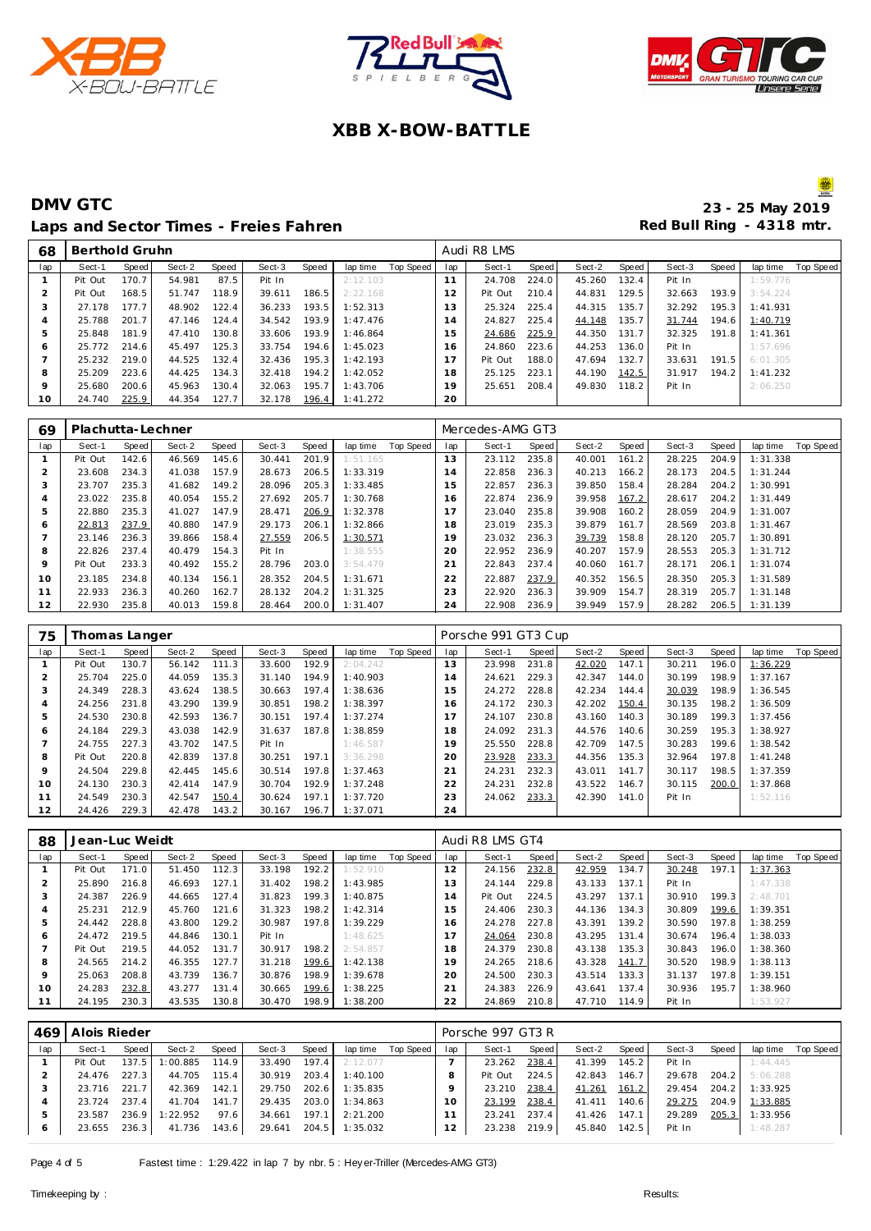





#### **DMV GTC** 23 - 25 May 2019 Laps and Sector Times - Freies Fahren **Red Bull Ring - 4318 mtr.**

| 68  | Berthold Gruhn |       |        |       |        |       |          |           |     | Audi R8 LMS |       |        |       |        |       |          |           |
|-----|----------------|-------|--------|-------|--------|-------|----------|-----------|-----|-------------|-------|--------|-------|--------|-------|----------|-----------|
| lap | Sect-1         | Speed | Sect-2 | Speed | Sect-3 | Speed | lap time | Top Speed | lap | Sect-1      | Speed | Sect-2 | Speed | Sect-3 | Speed | lap time | Top Speed |
|     | Pit Out        | 170.7 | 54.981 | 87.5  | Pit In |       | 2:12.103 |           | 11  | 24.708      | 224.0 | 45.260 | 132.4 | Pit In |       | 1:59.776 |           |
|     | Pit Out        | 168.5 | 51.747 | 118.9 | 39.611 | 186.5 | 2:22.168 |           | 12  | Pit Out     | 210.4 | 44.831 | 129.5 | 32.663 | 193.9 | 3:54.224 |           |
| -1  | 27.178         | 177.7 | 48.902 | 122.4 | 36.233 | 193.5 | 1:52.313 |           | 13  | 25.324      | 225.4 | 44.315 | 135.7 | 32.292 | 195.3 | 1:41.931 |           |
|     | 25.788         | 201.7 | 47.146 | 124.4 | 34.542 | 193.9 | 1:47.476 |           | 14  | 24.827      | 225.4 | 44.148 | 135.7 | 31.744 | 194.6 | 1:40.719 |           |
|     | 25.848         | 181.9 | 47.410 | 130.8 | 33.606 | 193.9 | 1:46.864 |           | 15  | 24.686      | 225.9 | 44.350 | 131.7 | 32.325 | 191.8 | 1:41.361 |           |
| Ô   | 25.772         | 214.6 | 45.497 | 125.3 | 33.754 | 194.6 | 1:45.023 |           | 16  | 24.860      | 223.6 | 44.253 | 136.0 | Pit In |       | 1:57.696 |           |
|     | 25.232         | 219.0 | 44.525 | 132.4 | 32.436 | 195.3 | 1:42.193 |           | 17  | Pit Out     | 188.0 | 47.694 | 132.7 | 33.631 | 191.5 | 6:01.305 |           |
| 8   | 25.209         | 223.6 | 44.425 | 134.3 | 32.418 | 194.2 | 1:42.052 |           | 18  | 25.125      | 223.1 | 44.190 | 142.5 | 31.917 | 194.2 | 1:41.232 |           |
| 9   | 25.680         | 200.6 | 45.963 | 130.4 | 32.063 | 195.7 | 1:43.706 |           | 19  | 25.651      | 208.4 | 49.830 | 118.2 | Pit In |       | 2:06.250 |           |
| 10  | 24.740         | 225.9 | 44.354 | 127.7 | 32.178 | 196.4 | 1:41.272 |           | 20  |             |       |        |       |        |       |          |           |

| 69  | Plachutta-Lechner |       |        |       |        |       |          |           |     | Mercedes-AMG GT3 |       |        |       |        |       |          |           |
|-----|-------------------|-------|--------|-------|--------|-------|----------|-----------|-----|------------------|-------|--------|-------|--------|-------|----------|-----------|
| lap | Sect-1            | Speed | Sect-2 | Speed | Sect-3 | Speed | lap time | Top Speed | lap | Sect-1           | Speed | Sect-2 | Speed | Sect-3 | Speed | lap time | Top Speed |
|     | Pit Out           | 142.6 | 46.569 | 145.6 | 30.441 | 201.9 | 1:51.165 |           | 13  | 23.112           | 235.8 | 40.001 | 161.2 | 28.225 | 204.9 | 1:31.338 |           |
|     | 23.608            | 234.3 | 41.038 | 157.9 | 28.673 | 206.5 | 1:33.319 |           | 14  | 22.858           | 236.3 | 40.213 | 166.2 | 28.173 | 204.5 | 1:31.244 |           |
| 3   | 23.707            | 235.3 | 41.682 | 149.2 | 28.096 | 205.3 | 1:33.485 |           | 15  | 22.857           | 236.3 | 39.850 | 158.4 | 28.284 | 204.2 | 1:30.991 |           |
| 4   | 23.022            | 235.8 | 40.054 | 155.2 | 27.692 | 205.7 | 1:30.768 |           | 16  | 22.874           | 236.9 | 39.958 | 167.2 | 28.617 | 204.2 | 1:31.449 |           |
| 5   | 22.880            | 235.3 | 41.027 | 147.9 | 28.471 | 206.9 | 1:32.378 |           | 17  | 23.040           | 235.8 | 39.908 | 160.2 | 28.059 | 204.9 | 1:31.007 |           |
| 6   | 22.813            | 237.9 | 40.880 | 147.9 | 29.173 | 206.1 | 1:32.866 |           | 18  | 23.019           | 235.3 | 39.879 | 161.7 | 28.569 | 203.8 | 1:31.467 |           |
|     | 23.146            | 236.3 | 39.866 | 158.4 | 27.559 | 206.5 | 1:30.571 |           | 19  | 23.032           | 236.3 | 39.739 | 158.8 | 28.120 | 205.7 | 1:30.891 |           |
| 8   | 22.826            | 237.4 | 40.479 | 154.3 | Pit In |       | 1:38.555 |           | 20  | 22.952           | 236.9 | 40.207 | 157.9 | 28.553 | 205.3 | 1:31.712 |           |
| 9   | Pit Out           | 233.3 | 40.492 | 155.2 | 28.796 | 203.0 | 3:54.479 |           | 21  | 22.843           | 237.4 | 40.060 | 161.7 | 28.171 | 206.1 | 1:31.074 |           |
| 10  | 23.185            | 234.8 | 40.134 | 156.1 | 28.352 | 204.5 | 1:31.671 |           | 22  | 22.887           | 237.9 | 40.352 | 156.5 | 28.350 | 205.3 | 1:31.589 |           |
| 11  | 22.933            | 236.3 | 40.260 | 162.7 | 28.132 | 204.2 | 1:31.325 |           | 23  | 22.920           | 236.3 | 39.909 | 154.7 | 28.319 | 205.7 | 1:31.148 |           |
| 12  | 22.930            | 235.8 | 40.013 | 159.8 | 28.464 | 200.0 | 1:31.407 |           | 24  | 22.908           | 236.9 | 39.949 | 157.9 | 28.282 | 206.5 | 1:31.139 |           |

| 75  | Thomas Langer |       |        |       |        |       |          |           |                | Porsche 991 GT3 Cup |       |        |       |        |       |          |           |
|-----|---------------|-------|--------|-------|--------|-------|----------|-----------|----------------|---------------------|-------|--------|-------|--------|-------|----------|-----------|
| lap | Sect-1        | Speed | Sect-2 | Speed | Sect-3 | Speed | lap time | Top Speed | lap            | Sect-1              | Speed | Sect-2 | Speed | Sect-3 | Speed | lap time | Top Speed |
|     | Pit Out       | 130.7 | 56.142 | 111.3 | 33.600 | 192.9 | 2:04.242 |           | 3              | 23.998              | 231.8 | 42.020 | 147.1 | 30.211 | 196.0 | 1:36.229 |           |
|     | 25.704        | 225.0 | 44.059 | 135.3 | 31.140 | 194.9 | 1:40.903 |           | 4              | 24.621              | 229.3 | 42.347 | 144.0 | 30.199 | 198.9 | 1:37.167 |           |
| 3   | 24.349        | 228.3 | 43.624 | 138.5 | 30.663 | 197.4 | 1:38.636 |           | 15             | 24.272              | 228.8 | 42.234 | 144.4 | 30.039 | 198.9 | 1:36.545 |           |
| 4   | 24.256        | 231.8 | 43.290 | 139.9 | 30.851 | 198.2 | 1:38.397 |           | 6              | 24.172              | 230.3 | 42.202 | 150.4 | 30.135 | 198.2 | 1:36.509 |           |
| 5   | 24.530        | 230.8 | 42.593 | 136.7 | 30.151 | 197.4 | 1:37.274 |           | $\overline{7}$ | 24.107              | 230.8 | 43.160 | 140.3 | 30.189 | 199.3 | 1:37.456 |           |
| 6   | 24.184        | 229.3 | 43.038 | 142.9 | 31.637 | 187.8 | 1:38.859 |           | 18             | 24.092              | 231.3 | 44.576 | 140.6 | 30.259 | 195.3 | 1:38.927 |           |
|     | 24.755        | 227.3 | 43.702 | 147.5 | Pit In |       | 1:46.587 |           | 19             | 25.550              | 228.8 | 42.709 | 147.5 | 30.283 | 199.6 | 1:38.542 |           |
| 8   | Pit Out       | 220.8 | 42.839 | 137.8 | 30.251 | 197.1 | 3:36.298 |           | 20             | 23.928              | 233.3 | 44.356 | 135.3 | 32.964 | 197.8 | 1:41.248 |           |
| 9   | 24.504        | 229.8 | 42.445 | 145.6 | 30.514 | 197.8 | 1:37.463 |           | 21             | 24.231              | 232.3 | 43.011 | 141.7 | 30.117 | 198.5 | 1:37.359 |           |
| 10  | 24.130        | 230.3 | 42.414 | 147.9 | 30.704 | 192.9 | 1:37.248 |           | 22             | 24.231              | 232.8 | 43.522 | 146.7 | 30.115 | 200.0 | 1:37.868 |           |
| 11  | 24.549        | 230.3 | 42.547 | 150.4 | 30.624 | 197.1 | 1:37.720 |           | 23             | 24.062              | 233.3 | 42.390 | 141.0 | Pit In |       | 1:52.116 |           |
| 12  | 24.426        | 229.3 | 42.478 | 143.2 | 30.167 | 196.7 | 1:37.071 |           | 24             |                     |       |        |       |        |       |          |           |

| 88  | Jean-Luc Weidt |       |        |       |        |       |          |           |              | Audi R8 LMS GT4 |       |        |       |        |       |          |           |
|-----|----------------|-------|--------|-------|--------|-------|----------|-----------|--------------|-----------------|-------|--------|-------|--------|-------|----------|-----------|
| lap | Sect-1         | Speed | Sect-2 | Speed | Sect-3 | Speed | lap time | Top Speed | lap          | Sect-1          | Speed | Sect-2 | Speed | Sect-3 | Speed | lap time | Top Speed |
|     | Pit Out        | 171.0 | 51.450 | 112.3 | 33.198 | 192.2 | 1:52.910 |           | 12           | 24.156          | 232.8 | 42.959 | 134.7 | 30.248 | 197.1 | 1:37.363 |           |
|     | 25.890         | 216.8 | 46.693 | 127.1 | 31.402 | 198.2 | 1:43.985 |           | $\mathbf{3}$ | 24.144          | 229.8 | 43.133 | 137.1 | Pit In |       | 1:47.338 |           |
| 3   | 24.387         | 226.9 | 44.665 | 127.4 | 31.823 | 199.3 | 1:40.875 |           | 14           | Pit Out         | 224.5 | 43.297 | 137.1 | 30.910 | 199.3 | 2:48.701 |           |
|     | 25.231         | 212.9 | 45.760 | 121.6 | 31.323 | 198.2 | 1:42.314 |           | -5           | 24.406          | 230.3 | 44.136 | 134.3 | 30.809 | 199.6 | 1:39.351 |           |
|     | 24.442         | 228.8 | 43.800 | 129.2 | 30.987 | 197.8 | 1:39.229 |           | 6            | 24.278          | 227.8 | 43.391 | 139.2 | 30.590 | 197.8 | 1:38.259 |           |
| 6   | 24.472         | 219.5 | 44.846 | 130.1 | Pit In |       | 1:48.625 |           |              | 24.064          | 230.8 | 43.295 | 131.4 | 30.674 | 196.4 | 1:38.033 |           |
|     | Pit Out        | 219.5 | 44.052 | 131.7 | 30.917 | 198.2 | 2:54.857 |           | 18           | 24.379          | 230.8 | 43.138 | 135.3 | 30.843 | 196.0 | 1:38.360 |           |
| 8   | 24.565         | 214.2 | 46.355 | 127.7 | 31.218 | 199.6 | 1:42.138 |           | 19           | 24.265          | 218.6 | 43.328 | 141.7 | 30.520 | 198.9 | 1:38.113 |           |
| 9   | 25.063         | 208.8 | 43.739 | 136.7 | 30.876 | 198.9 | 1:39.678 |           | 20           | 24.500          | 230.3 | 43.514 | 133.3 | 31.137 | 197.8 | 1:39.151 |           |
| 10  | 24.283         | 232.8 | 43.277 | 131.4 | 30.665 | 199.6 | 1:38.225 |           | $2^{\cdot}$  | 24.383          | 226.9 | 43.641 | 137.4 | 30.936 | 195.7 | 1:38.960 |           |
|     | 24.195         | 230.3 | 43.535 | 130.8 | 30.470 | 198.9 | 1:38.200 |           | 22           | 24.869          | 210.8 | 47.710 | 114.9 | Pit In |       | 1:53.927 |           |

| 469          | Alois Rieder |       |          |       |        |         |          |           |          | Porsche 997 GT3 R |       |        |       |        |       |          |           |
|--------------|--------------|-------|----------|-------|--------|---------|----------|-----------|----------|-------------------|-------|--------|-------|--------|-------|----------|-----------|
| lap          | Sect-1       | Speed | Sect-2   | Speed | Sect-3 | Speed   | lap time | Top Speed | lap      | Sect-1            | Speed | Sect-2 | Speed | Sect-3 | Speed | lap time | Top Speed |
|              | Pit Out      | 137.5 | :00.885  | 114.9 | 33.490 | 197.4   | 2:12.077 |           |          | 23.262            | 238.4 | 41.399 | 145.2 | Pit In |       | 1:44.445 |           |
|              | 24.476       | 227.3 | 44.705   | 115.4 | 30.919 | 203.4 l | 1:40.100 |           | 8        | Pit Out           | 224.5 | 42.843 | 146.7 | 29.678 | 204.2 | 5:06.288 |           |
|              | 23.716       | 221.7 | 42.369   | 142.1 | 29.750 | 202.6   | 1:35.835 |           |          | 23.210            | 238.4 | 41.261 | 161.2 | 29.454 | 204.2 | 1:33.925 |           |
|              | 23.724       | 237.4 | 41.704   | 141.7 | 29.435 | 203.0   | 1:34.863 |           | $\Omega$ | 23.199            | 238.4 | 41.411 | 140.6 | 29.275 | 204.9 | 1:33.885 |           |
|              | 23.587       | 236.9 | 1:22.952 | 97.6  | 34.661 | 197.1   | 2:21.200 |           |          | 23.241            | 237.4 | 41.426 | 147.1 | 29.289 | 205.3 | 1:33.956 |           |
| <sub>0</sub> | 23.655       | 236.3 | 41.736   | 143.6 | 29.641 | 204.5   | 1:35.032 |           |          | 23.238            | 219.9 | 45.840 | 142.5 | Pit In |       | 1:48.287 |           |